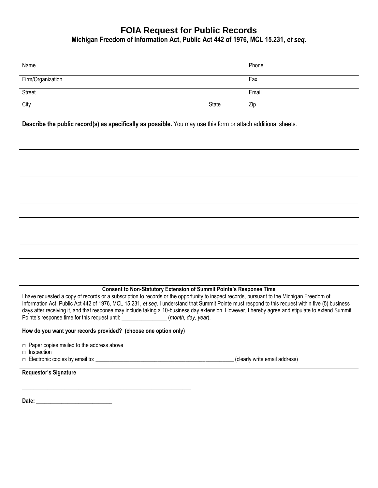## **FOIA Request for Public Records Michigan Freedom of Information Act, Public Act 442 of 1976, MCL 15.231,** *et seq***.**

| Name              |       | Phone |
|-------------------|-------|-------|
| Firm/Organization |       | Fax   |
| Street            |       | Email |
| City              | State | Zip   |

**Describe the public record(s) as specifically as possible.** You may use this form or attach additional sheets.

| <b>Consent to Non-Statutory Extension of Summit Pointe's Response Time</b><br>I have requested a copy of records or a subscription to records or the opportunity to inspect records, pursuant to the Michigan Freedom of<br>Information Act, Public Act 442 of 1976, MCL 15.231, et seq. I understand that Summit Pointe must respond to this request within five (5) business<br>days after receiving it, and that response may include taking a 10-business day extension. However, I hereby agree and stipulate to extend Summit<br>Pointe's response time for this request until: _______________(month, day, year). |  |  |  |
|--------------------------------------------------------------------------------------------------------------------------------------------------------------------------------------------------------------------------------------------------------------------------------------------------------------------------------------------------------------------------------------------------------------------------------------------------------------------------------------------------------------------------------------------------------------------------------------------------------------------------|--|--|--|
| How do you want your records provided? (choose one option only)                                                                                                                                                                                                                                                                                                                                                                                                                                                                                                                                                          |  |  |  |
| $\Box$ Paper copies mailed to the address above<br>$\Box$ Inspection                                                                                                                                                                                                                                                                                                                                                                                                                                                                                                                                                     |  |  |  |
| (clearly write email address)                                                                                                                                                                                                                                                                                                                                                                                                                                                                                                                                                                                            |  |  |  |
| <b>Requestor's Signature</b>                                                                                                                                                                                                                                                                                                                                                                                                                                                                                                                                                                                             |  |  |  |
|                                                                                                                                                                                                                                                                                                                                                                                                                                                                                                                                                                                                                          |  |  |  |
|                                                                                                                                                                                                                                                                                                                                                                                                                                                                                                                                                                                                                          |  |  |  |
|                                                                                                                                                                                                                                                                                                                                                                                                                                                                                                                                                                                                                          |  |  |  |
|                                                                                                                                                                                                                                                                                                                                                                                                                                                                                                                                                                                                                          |  |  |  |
|                                                                                                                                                                                                                                                                                                                                                                                                                                                                                                                                                                                                                          |  |  |  |